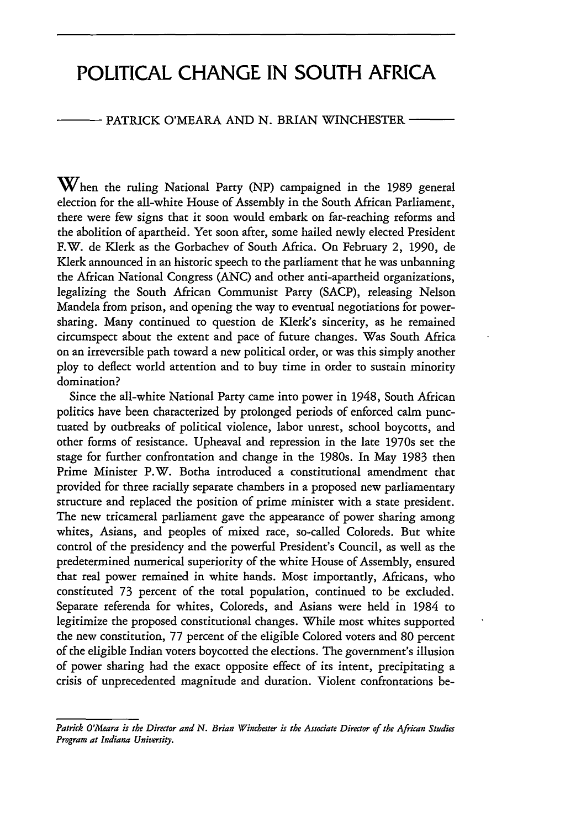# **POLITICAL CHANGE IN SOUTH AFRICA**

## PATRICK O'MEARA AND N. BRIAN WINCHESTER

 $\mathbf W$ hen the ruling National Party (NP) campaigned in the 1989 general election for the all-white House of Assembly in the South African Parliament, there were few signs that it soon would embark on far-reaching reforms and the abolition of apartheid. Yet soon after, some hailed newly elected President F.W. de Klerk as the Gorbachev of South Africa. On February 2, 1990, de Klerk announced in an historic speech to the parliament that he was unbanning the African National Congress (ANC) and other anti-apartheid organizations, legalizing the South African Communist Party (SACP), releasing Nelson Mandela from prison, and opening the way to eventual negotiations for powersharing. Many continued to question de Klerk's sincerity, as he remained circumspect about the extent and pace of future changes. Was South Africa on an irreversible path toward a new political order, or was this simply another ploy to deflect world attention and to buy time in order to sustain minority domination?

Since the all-white National Party came into power in 1948, South African politics have been characterized by prolonged periods of enforced calm punctuated by outbreaks of political violence, labor unrest, school boycotts, and other forms of resistance. Upheaval and repression in the late 1970s set the stage for further confrontation and change in the 1980s. In May 1983 then Prime Minister P.W. Botha introduced a constitutional amendment that provided for three racially separate chambers in a proposed new parliamentary structure and replaced the position of prime minister with a state president. The new tricameral parliament gave the appearance of power sharing among whites, Asians, and peoples of mixed race, so-called Coloreds. But white control of the presidency and the powerful President's Council, as well as the predetermined numerical superiority of the white House of Assembly, ensured that real power remained in white hands. Most importantly, Africans, who constituted 73 percent of the total population, continued to be excluded. Separate referenda for whites, Coloreds, and Asians were held in 1984 to legitimize the proposed constitutional changes. While most whites supported the new constitution, 77 percent of the eligible Colored voters and 80 percent of the eligible Indian voters boycotted the elections. The government's illusion of power sharing had the exact opposite effect of its intent, precipitating a crisis of unprecedented magnitude and duration. Violent confrontations be-

*Patrick O'Meara is the Director and N. Brian Winchester is the Associate Director of the African Studies Program at Indiana University.*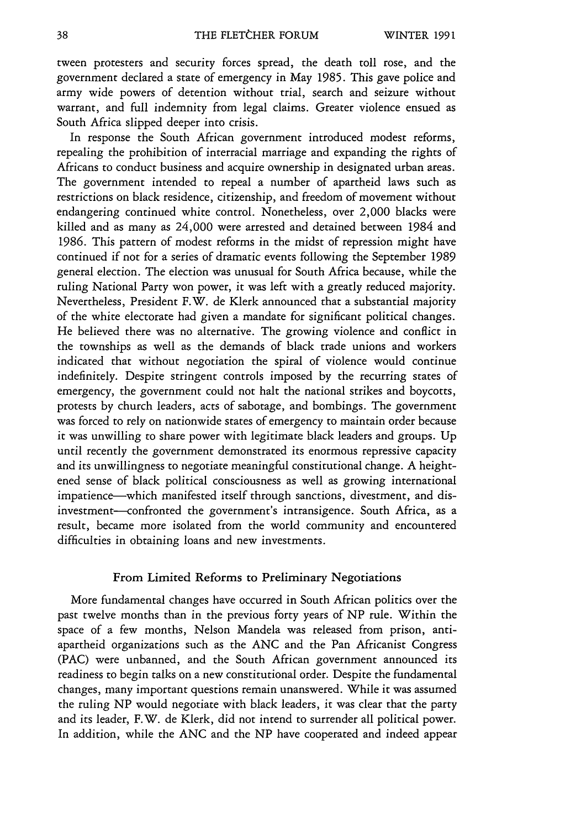tween protesters and security forces spread, the death toll rose, and the government declared a state of emergency in May 1985. This gave police and army wide powers of detention without trial, search and seizure without warrant, and full indemnity from legal claims. Greater violence ensued as South Africa slipped deeper into crisis.

In response the South African government introduced modest reforms, repealing the prohibition of interracial marriage and expanding the rights of Africans to conduct business and acquire ownership in designated urban areas. The government intended to repeal a number of apartheid laws such as restrictions on black residence, citizenship, and freedom of movement without endangering continued white control. Nonetheless, over 2,000 blacks were killed and as many as 24,000 were arrested and detained between 1984 and 1986. This pattern of modest reforms in the midst of repression might have continued if not for a series of dramatic events following the September 1989 general election. The election was unusual for South Africa because, while the ruling National Party won power, it was left with a greatly reduced majority. Nevertheless, President F.W. de Klerk announced that a substantial majority of the white electorate had given a mandate for significant political changes. He believed there was no alternative. The growing violence and conflict in the townships as well as the demands of black trade unions and workers indicated that without negotiation the spiral of violence would continue indefinitely. Despite stringent controls imposed by the recurring states of emergency, the government could not halt the national strikes and boycotts, protests by church leaders, acts of sabotage, and bombings. The government was forced to rely on nationwide states of emergency to maintain order because it was unwilling to share power with legitimate black leaders and groups. **Up** until recently the government demonstrated its enormous repressive capacity and its unwillingness to negotiate meaningful constitutional change. A heightened sense of black political consciousness as well as growing international impatience-which manifested itself through sanctions, divestment, and disinvestment-confronted the government's intransigence. South Africa, as a result, became more isolated from the world community and encountered difficulties in obtaining loans and new investments.

### From Limited Reforms to Preliminary Negotiations

More fundamental changes have occurred in South African politics over the past twelve months than in the previous forty years of NP rule. Within the space of a few months, Nelson Mandela was released from prison, antiapartheid organizations such as the **ANC** and the Pan Africanist Congress (PAC) were unbanned, and the South African government announced its readiness to begin talks on a new constitutional order. Despite the fundamental changes, many important questions remain unanswered. While it was assumed the ruling NP would negotiate with black leaders, it was clear that the party and its leader, F.W. de Klerk, did not intend to surrender all political power. In addition, while the **ANC** and the NP have cooperated and indeed appear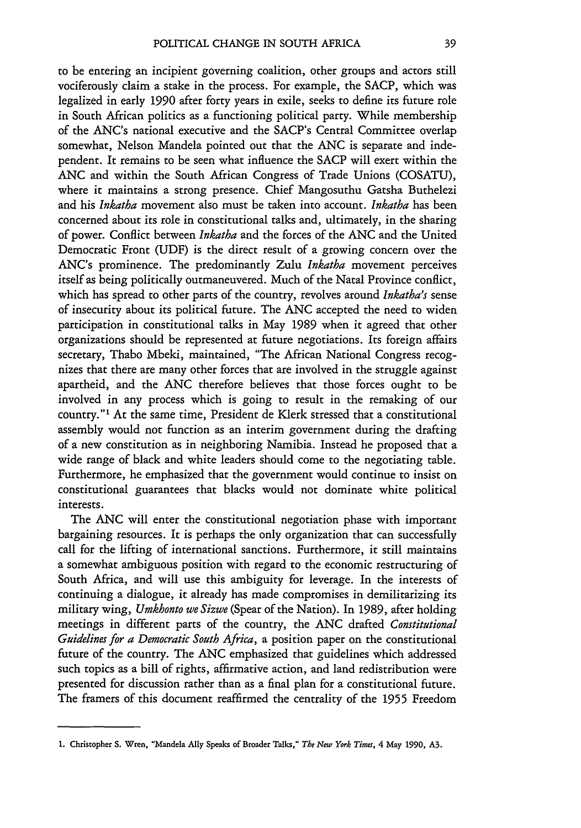to be entering an incipient governing coalition, other groups and actors still vociferously claim a stake in the process. For example, the SACP, which was legalized in early 1990 after forty years in exile, seeks to define its future role in South African politics as a functioning political party. While membership of the ANC's national executive and the SACP's Central Committee overlap somewhat, Nelson Mandela pointed out that the ANC is separate and independent. It remains to be seen what influence the SACP will exert within the **ANC** and within the South African Congress of Trade Unions (COSATU), where it maintains a strong presence. Chief Mangosuthu Gatsha Buthelezi and his *Inkatha* movement also must be taken into account. *Inkatha* has been concerned about its role in constitutional talks and, ultimately, in the sharing of power. Conflict between *Inkatha* and the forces of the ANC and the United Democratic Front **(UDF)** is the direct result of a growing concern over the ANC's prominence. The predominantly Zulu *Inkatha* movement perceives itself as being politically outmaneuvered. Much of the Natal Province conflict, which has spread to other parts of the country, revolves around *Inkatha's* sense of insecurity about its political future. The ANC accepted the need to widen participation in constitutional talks in May 1989 when it agreed that other organizations should be represented at future negotiations. Its foreign affairs secretary, Thabo Mbeki, maintained, "The African National Congress recognizes that there are many other forces that are involved in the struggle against apartheid, and the ANC therefore believes that those forces ought to be involved in any process which is going to result in the remaking of our country."1 At the same time, President de Klerk stressed that a constitutional assembly would not function as an interim government during the drafting of a new constitution as in neighboring Namibia. Instead he proposed that a wide range of black and white leaders should come to the negotiating table. Furthermore, he emphasized that the government would continue to insist on constitutional guarantees that blacks would not dominate white political interests.

The ANC will enter the constitutional negotiation phase with important bargaining resources. It is perhaps the only organization that can successfully call for the lifting of international sanctions. Furthermore, it still maintains a somewhat ambiguous position with regard to the economic restructuring of South Africa, and will use this ambiguity for leverage. In the interests of continuing a dialogue, it already has made compromises in demilitarizing its military wing, *Umkhonto we Sizwe* (Spear of the Nation). In 1989, after holding meetings in different parts of the country, the ANC drafted *Constitutional Guidelines for a Democratic South Africa,* a position paper on the constitutional future of the country. The ANC emphasized that guidelines which addressed such topics as a bill of rights, affirmative action, and land redistribution were presented for discussion rather than as a final plan for a constitutional future. The framers of this document reaffirmed the centrality of the 1955 Freedom

**<sup>1.</sup>** Christopher **S.** Wren, "Mandela **Ally** Speaks **of** Broader Talks," *The New York Times,* **4 May 1990, A3.**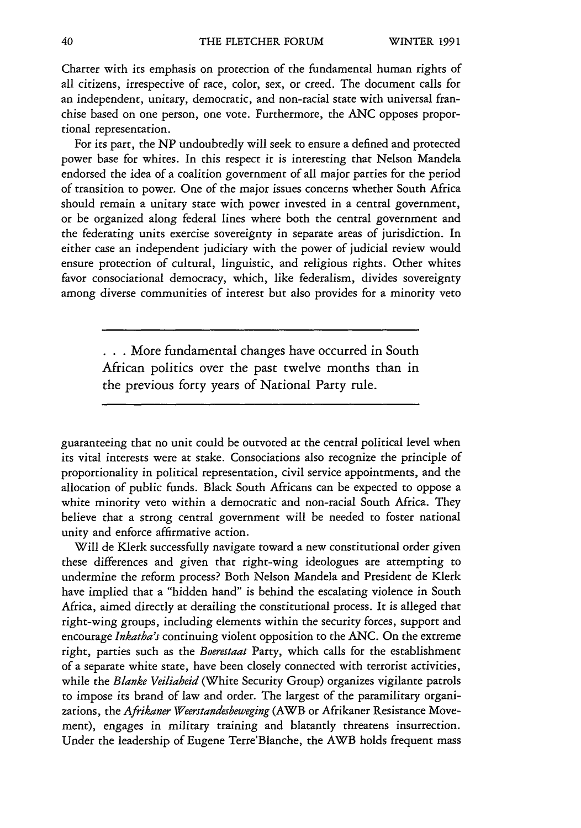Charter with its emphasis on protection of the fundamental human rights of all citizens, irrespective of race, color, sex, or creed. The document calls for an independent, unitary, democratic, and non-racial state with universal franchise based on one person, one vote. Furthermore, the ANC opposes proportional representation.

For its part, the NP undoubtedly will seek to ensure a defined and protected power base for whites. In this respect it is interesting that Nelson Mandela endorsed the idea of a coalition government of all major parties for the period of transition to power. One of the major issues concerns whether South Africa should remain a unitary state with power invested in a central government, or be organized along federal lines where both the central government and the federating units exercise sovereignty in separate areas of jurisdiction. In either case an independent judiciary with the power of judicial review would ensure protection of cultural, linguistic, and religious rights. Other whites favor consociational democracy, which, like federalism, divides sovereignty among diverse communities of interest but also provides for a minority veto

> • **. .** More fundamental changes have occurred in South African politics over the past twelve months than in the previous forty years of National Party rule.

guaranteeing that no unit could be outvoted at the central political level when its vital interests were at stake. Consociations also recognize the principle of proportionality in political representation, civil service appointments, and the allocation of public funds. Black South Africans can be expected to oppose a white minority veto within a democratic and non-racial South Africa. They believe that a strong central government will be needed to foster national unity and enforce affirmative action.

Will de Klerk successfully navigate toward a new constitutional order given these differences and given that right-wing ideologues are attempting to undermine the reform process? Both Nelson Mandela and President de Klerk have implied that a "hidden hand" is behind the escalating violence in South Africa, aimed directly at derailing the constitutional process. It is alleged that right-wing groups, including elements within the security forces, support and encourage *Inkatha's* continuing violent opposition to the ANC. On the extreme right, parties such as the *Boerestaat* Party, which calls for the establishment of a separate white state, have been closely connected with terrorist activities, while the *Blanke Veiliaheid* (White Security Group) organizes vigilante patrols to impose its brand of law and order. The largest of the paramilitary organizations, the *Afrikaner Weerstandesbeweging* (AWB or Afrikaner Resistance Movement), engages in military training and blatantly threatens insurrection. Under the leadership of Eugene Terre'Blanche, the AWB holds frequent mass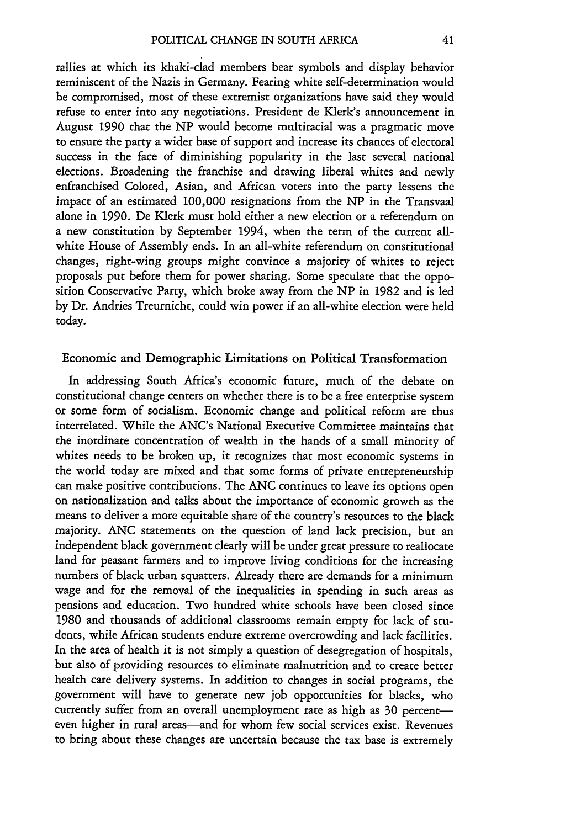rallies at which its khaki-clad members bear symbols and display behavior reminiscent of the Nazis in Germany. Fearing white self-determination would be compromised, most of these extremist organizations have said they would refuse to enter into any negotiations. President de Klerk's announcement in August 1990 that the NP would become multiracial was a pragmatic move to ensure the party a wider base of support and increase its chances of electoral success in the face of diminishing popularity in the last several national elections. Broadening the franchise and drawing liberal whites and newly enfranchised Colored, Asian, and African voters into the party lessens the impact of an estimated 100,000 resignations from the NP in the Transvaal alone in 1990. De Klerk must hold either a new election or a referendum on a new constitution by September 1994, when the term of the current allwhite House of Assembly ends. In an all-white referendum on constitutional changes, right-wing groups might convince a majority of whites to reject proposals put before them for power sharing. Some speculate that the opposition Conservative Party, which broke away from the NP in 1982 and is led by Dr. Andries Treurnicht, could win power if an all-white election were held today.

#### Economic and Demographic Limitations on Political Transformation

In addressing South Africa's economic future, much of the debate on constitutional change centers on whether there is to be a free enterprise system or some form of socialism. Economic change and political reform are thus interrelated. While the ANC's National Executive Committee maintains that the inordinate concentration of wealth in the hands of a small minority of whites needs to be broken up, it recognizes that most economic systems in the world today are mixed and that some forms of private entrepreneurship can make positive contributions. The ANC continues to leave its options open on nationalization and talks about the importance of economic growth as the means to deliver a more equitable share of the country's resources to the black majority. ANC statements on the question of land lack precision, but an independent black government clearly will be under great pressure to reallocate land for peasant farmers and to improve living conditions for the increasing numbers of black urban squatters. Already there are demands for a minimum wage and for the removal of the inequalities in spending in such areas as pensions and education. Two hundred white schools have been closed since 1980 and thousands of additional classrooms remain empty for lack of students, while African students endure extreme overcrowding and lack facilities. In the area of health it is not simply a question of desegregation of hospitals, but also of providing resources to eliminate malnutrition and to create better health care delivery systems. In addition to changes in social programs, the government will have to generate new job opportunities for blacks, who currently suffer from an overall unemployment rate as high as 30 percenteven higher in rural areas—and for whom few social services exist. Revenues to bring about these changes are uncertain because the tax base is extremely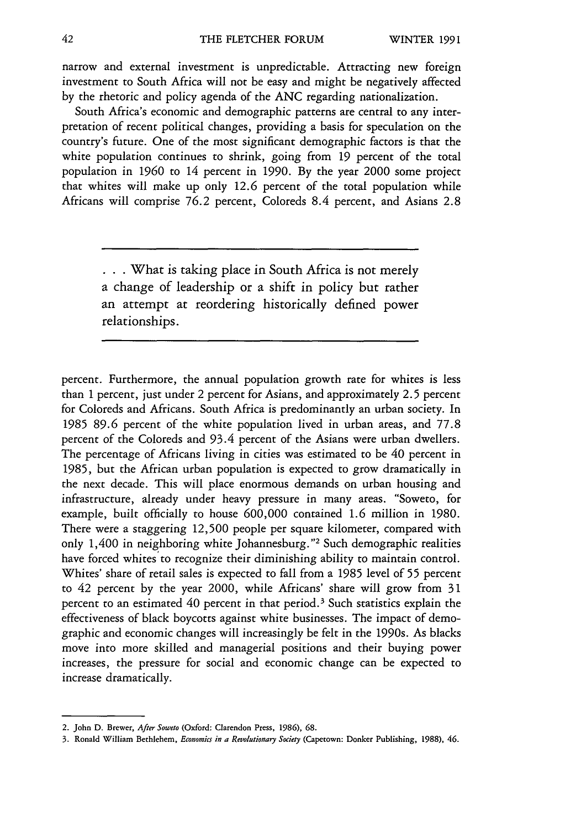narrow and external investment is unpredictable. Attracting new foreign investment to South Africa will not be easy and might be negatively affected by the rhetoric and policy agenda of the **ANC** regarding nationalization.

South Africa's economic and demographic patterns are central to any interpretation of recent political changes, providing a basis for speculation on the country's future. One of the most significant demographic factors is that the white population continues to shrink, going from 19 percent of the total population in 1960 to 14 percent in 1990. By the year 2000 some project that whites will make up only 12.6 percent of the total population while Africans will comprise 76.2 percent, Coloreds 8.4 percent, and Asians 2.8

**.. .**What is taking place in South Africa is not merely a change of leadership or a shift in policy but rather an attempt at reordering historically defined power relationships.

percent. Furthermore, the annual population growth rate for whites is less than 1 percent, just under 2 percent for Asians, and approximately 2.5 percent for Coloreds and Africans. South Africa is predominantly an urban society. In 1985 89.6 percent of the white population lived in urban areas, and 77.8 percent of the Coloreds and 93.4 percent of the Asians were urban dwellers. The percentage of Africans living in cities was estimated to be 40 percent in 1985, but the African urban population is expected to grow dramatically in the next decade. This will place enormous demands on urban housing and infrastructure, already under heavy pressure in many areas. "Soweto, for example, built officially to house 600,000 contained 1.6 million in 1980. There were a staggering 12,500 people per square kilometer, compared with only 1,400 in neighboring white Johannesburg."<sup>2</sup> Such demographic realities have forced whites to recognize their diminishing ability to maintain control. Whites' share of retail sales is expected to fall from a 1985 level of 55 percent to 42 percent by the year 2000, while Africans' share will grow from 31 percent to an estimated 40 percent in that period. 3 Such statistics explain the effectiveness of black boycotts against white businesses. The impact of demographic and economic changes will increasingly be felt in the 1990s. As blacks move into more skilled and managerial positions and their buying power increases, the pressure for social and economic change can be expected to increase dramatically.

<sup>2.</sup> John **D.** Brewer, *After Soweto* (Oxford: Clarendon Press, **1986), 68.**

**<sup>3.</sup> Ronald** William **Bethlehem,** *Economics in a Revolutionary Society* (Capetown: Donker Publishing, **1988), 46.**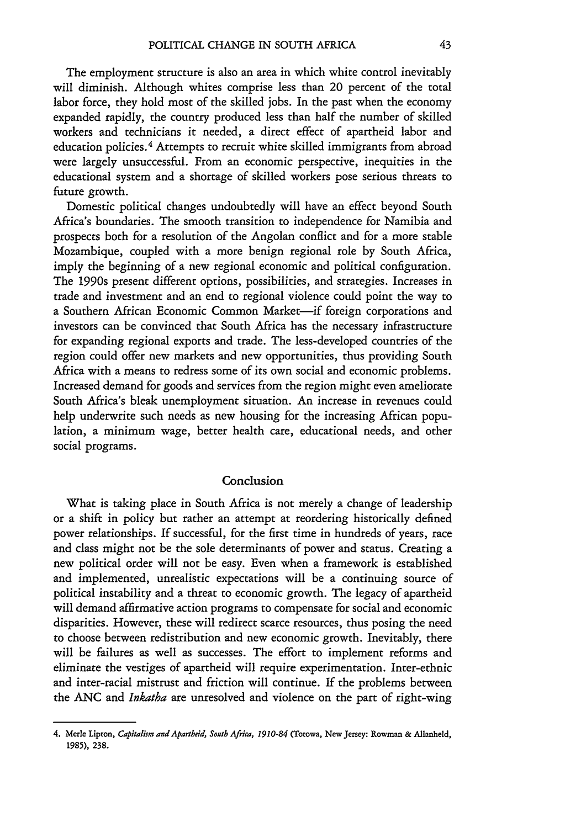The employment structure is also an area in which white control inevitably will diminish. Although whites comprise less than 20 percent of the total labor force, they hold most of the skilled jobs. In the past when the economy expanded rapidly, the country produced less than half the number of skilled workers and technicians it needed, a direct effect of apartheid labor and education policies. 4 Attempts to recruit white skilled immigrants from abroad were largely unsuccessful. From an economic perspective, inequities in the educational system and a shortage of skilled workers pose serious threats to future growth.

Domestic political changes undoubtedly will have an effect beyond South Africa's boundaries. The smooth transition to independence for Namibia and prospects both for a resolution of the Angolan conflict and for a more stable Mozambique, coupled with a more benign regional role by South Africa, imply the beginning of a new regional economic and political configuration. The 1990s present different options, possibilities, and strategies. Increases in trade and investment and an end to regional violence could point the way to a Southern African Economic Common Market-if foreign corporations and investors can be convinced that South Africa has the necessary infrastructure for expanding regional exports and trade. The less-developed countries of the region could offer new markets and new opportunities, thus providing South Africa with a means to redress some of its own social and economic problems. Increased demand for goods and services from the region might even ameliorate South Africa's bleak unemployment situation. An increase in revenues could help underwrite such needs as new housing for the increasing African population, a minimum wage, better health care, educational needs, and other social programs.

#### Conclusion

What is taking place in South Africa is not merely a change of leadership or a shift in policy but rather an attempt at reordering historically defined power relationships. If successful, for the first time in hundreds of years, race and class might not be the sole determinants of power and status. Creating a new political order will not be easy. Even when a framework is established and implemented, unrealistic expectations will be a continuing source of political instability and a threat to economic growth. The legacy of apartheid will demand affirmative action programs to compensate for social and economic disparities. However, these will redirect scarce resources, thus posing the need to choose between redistribution and new economic growth. Inevitably, there will be failures as well as successes. The effort to implement reforms and eliminate the vestiges of apartheid will require experimentation. Inter-ethnic and inter-racial mistrust and friction will continue. If the problems between the ANC and *Inkatha* are unresolved and violence on the part of right-wing

**<sup>4.</sup>** Merle Lipton, *Capitalism and Apartheid, Soath Africa, 1910-84* (Totowa, New Jersey: **Rowman &** Allanheld, **1985), 238.**